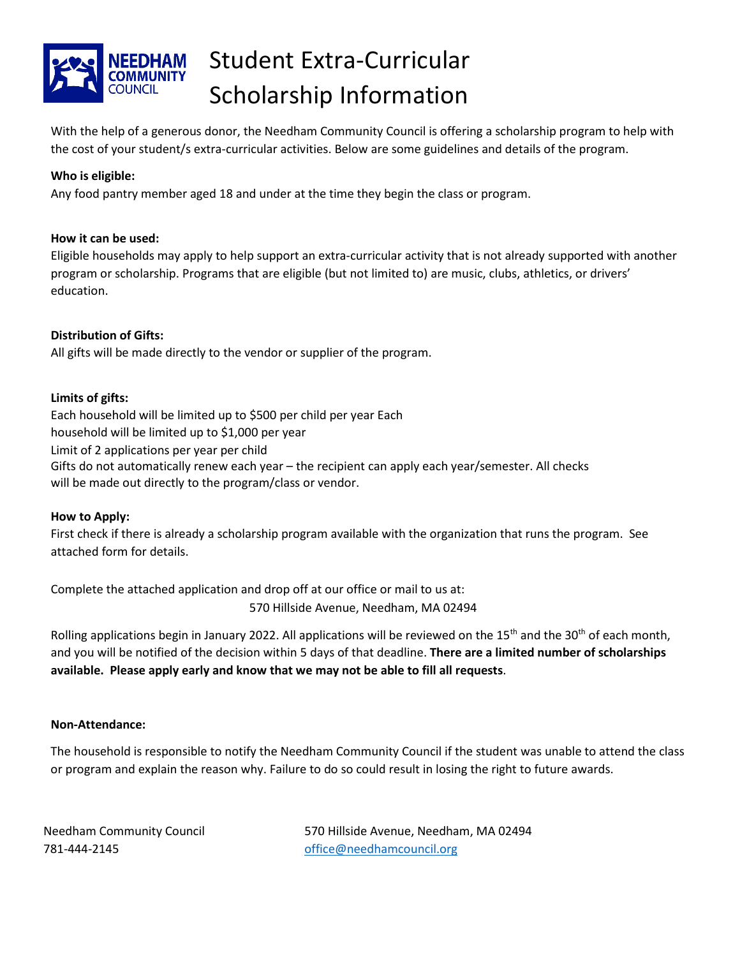

# Student Extra-Curricular Scholarship Information

With the help of a generous donor, the Needham Community Council is offering a scholarship program to help with the cost of your student/s extra-curricular activities. Below are some guidelines and details of the program.

## **Who is eligible:**

Any food pantry member aged 18 and under at the time they begin the class or program.

## **How it can be used:**

Eligible households may apply to help support an extra-curricular activity that is not already supported with another program or scholarship. Programs that are eligible (but not limited to) are music, clubs, athletics, or drivers' education.

## **Distribution of Gifts:**

All gifts will be made directly to the vendor or supplier of the program.

## **Limits of gifts:**

Each household will be limited up to \$500 per child per year Each household will be limited up to \$1,000 per year Limit of 2 applications per year per child Gifts do not automatically renew each year – the recipient can apply each year/semester. All checks will be made out directly to the program/class or vendor.

## **How to Apply:**

First check if there is already a scholarship program available with the organization that runs the program. See attached form for details.

Complete the attached application and drop off at our office or mail to us at:

570 Hillside Avenue, Needham, MA 02494

Rolling applications begin in January 2022. All applications will be reviewed on the 15<sup>th</sup> and the 30<sup>th</sup> of each month, and you will be notified of the decision within 5 days of that deadline. **There are a limited number of scholarships available. Please apply early and know that we may not be able to fill all requests**.

## **Non-Attendance:**

The household is responsible to notify the Needham Community Council if the student was unable to attend the class or program and explain the reason why. Failure to do so could result in losing the right to future awards.

781-444-2145 [office@needhamcouncil.org](mailto:office@needhamcouncil.org)

Needham Community Council 570 Hillside Avenue, Needham, MA 02494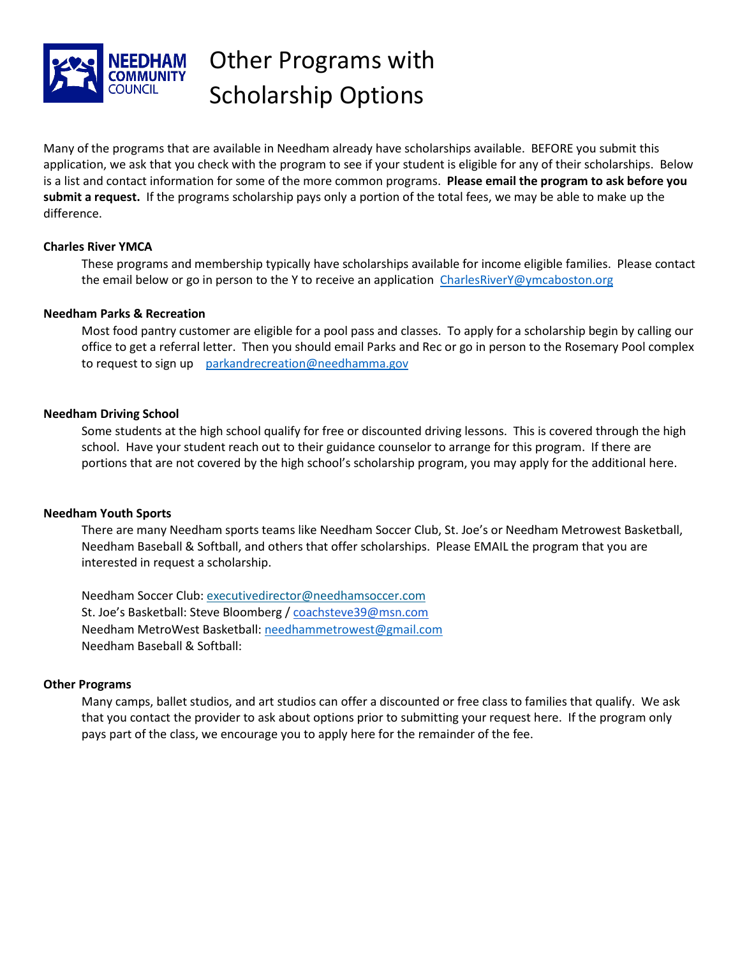

## Other Programs with Scholarship Options

Many of the programs that are available in Needham already have scholarships available. BEFORE you submit this application, we ask that you check with the program to see if your student is eligible for any of their scholarships. Below is a list and contact information for some of the more common programs. **Please email the program to ask before you submit a request.** If the programs scholarship pays only a portion of the total fees, we may be able to make up the difference.

### **Charles River YMCA**

These programs and membership typically have scholarships available for income eligible families. Please contact the email below or go in person to the Y to receive an application [CharlesRiverY@ymcaboston.org](mailto:CharlesRiverY@ymcaboston.org)

### **Needham Parks & Recreation**

Most food pantry customer are eligible for a pool pass and classes. To apply for a scholarship begin by calling our office to get a referral letter. Then you should email Parks and Rec or go in person to the Rosemary Pool complex to request to sign up [parkandrecreation@needhamma.gov](mailto:parkandrecreation@needhamma.gov)

### **Needham Driving School**

Some students at the high school qualify for free or discounted driving lessons. This is covered through the high school. Have your student reach out to their guidance counselor to arrange for this program. If there are portions that are not covered by the high school's scholarship program, you may apply for the additional here.

### **Needham Youth Sports**

There are many Needham sports teams like Needham Soccer Club, St. Joe's or Needham Metrowest Basketball, Needham Baseball & Softball, and others that offer scholarships. Please EMAIL the program that you are interested in request a scholarship.

Needham Soccer Club: [executivedirector@needhamsoccer.com](mailto:executivedirector@needhamsoccer.com) St. Joe's Basketball: Steve Bloomberg [/ coachsteve39@msn.com](mailto:coachsteve39@msn.com) Needham MetroWest Basketball: [needhammetrowest@gmail.com](mailto:needhammetrowest@gmail.com) Needham Baseball & Softball:

### **Other Programs**

Many camps, ballet studios, and art studios can offer a discounted or free class to families that qualify. We ask that you contact the provider to ask about options prior to submitting your request here. If the program only pays part of the class, we encourage you to apply here for the remainder of the fee.